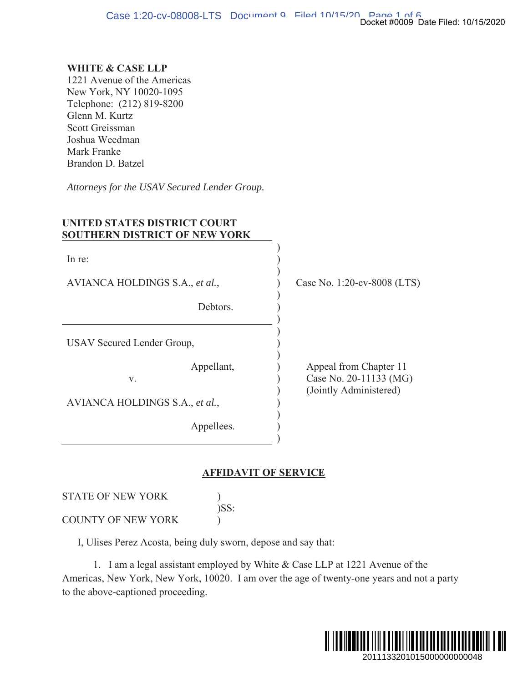## **WHITE & CASE LLP**

1221 Avenue of the Americas New York, NY 10020-1095 Telephone: (212) 819-8200 Glenn M. Kurtz Scott Greissman Joshua Weedman Mark Franke Brandon D. Batzel

Attorneys for the USAV Secured Lender Group.

| UNITED STATES DISTRICT COURT<br><b>SOUTHERN DISTRICT OF NEW YORK</b> |                                                                            |
|----------------------------------------------------------------------|----------------------------------------------------------------------------|
| In re:                                                               |                                                                            |
| AVIANCA HOLDINGS S.A., et al.,                                       | Case No. 1:20-cv-8008 (LTS)                                                |
| Debtors.                                                             |                                                                            |
| USAV Secured Lender Group,                                           |                                                                            |
| Appellant,<br>V.                                                     | Appeal from Chapter 11<br>Case No. 20-11133 (MG)<br>(Jointly Administered) |
| AVIANCA HOLDINGS S.A., et al.,                                       |                                                                            |
| Appellees.                                                           |                                                                            |

## **AFFIDAVIT OF SERVICE**

STATE OF NEW YORK  $\mathcal{L}$ )SS: COUNTY OF NEW YORK  $\mathcal{L}$ 

I, Ulises Perez Acosta, being duly sworn, depose and say that:

1. I am a legal assistant employed by White & Case LLP at 1221 Avenue of the Americas, New York, New York, 10020. I am over the age of twenty-one years and not a party to the above-captioned proceeding.

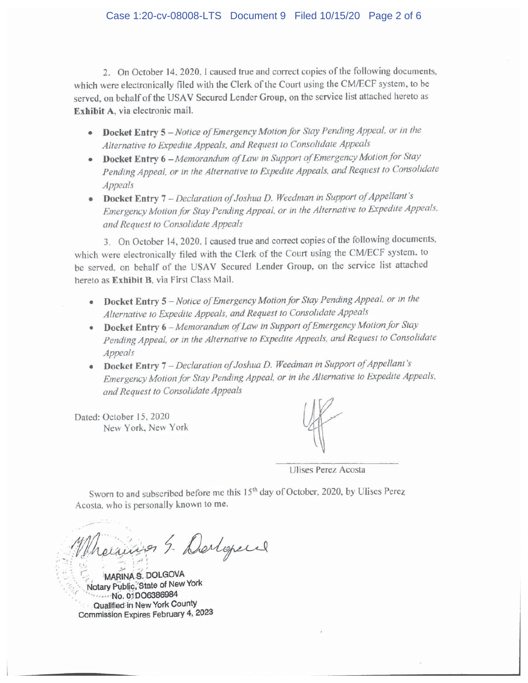2. On October 14, 2020, I caused true and correct copies of the following documents, which were electronically filed with the Clerk of the Court using the CM/ECF system, to be served, on behalf of the USAV Secured Lender Group, on the service list attached hereto as Exhibit A, via electronic mail.

- Docket Entry 5 Notice of Emergency Motion for Stay Pending Appeal, or in the Alternative to Expedite Appeals, and Request to Consolidate Appeals
- Docket Entry 6 Memorandum of Law in Support of Emergency Motion for Stay Pending Appeal, or in the Alternative to Expedite Appeals, and Request to Consolidate Appeals
- Docket Entry 7 Declaration of Joshua D. Weedman in Support of Appellant's Emergency Motion for Stay Pending Appeal, or in the Alternative to Expedite Appeals, and Request to Consolidate Appeals

3. On October 14, 2020. I caused true and correct copies of the following documents, which were electronically filed with the Clerk of the Court using the CM/ECF system, to be served, on behalf of the USAV Secured Lender Group, on the service list attached hereto as Exhibit B, via First Class Mail.

- Docket Entry 5 Notice of Emergency Motion for Stay Pending Appeal, or in the Alternative to Expedite Appeals, and Request to Consolidate Appeals
- Docket Entry 6 Memorandum of Law in Support of Emergency Motion for Stay Pending Appeal, or in the Alternative to Expedite Appeals, and Request to Consolidate Appeals
- Docket Entry 7 Declaration of Joshua D. Weedman in Support of Appellant's Emergency Motion for Stay Pending Appeal, or in the Alternative to Expedite Appeals, and Request to Consolidate Appeals

Dated: October 15, 2020 New York, New York

Ulises Perez Acosta

Sworn to and subscribed before me this 15<sup>th</sup> day of October, 2020, by Ulises Perez Acosta, who is personally known to me.

raisines 5- Derlopen

**MARINA S. DOLGOVA** Notary Public, State of New York ......No. 01DO6386984 Qualified in New York County Commission Expires February 4, 2023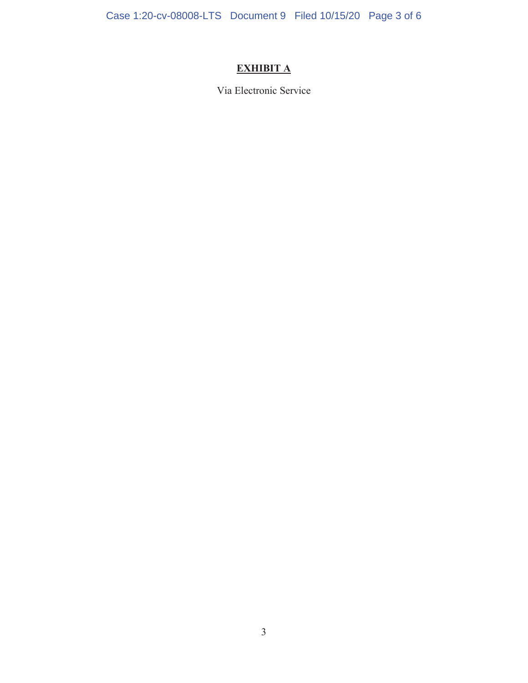Case 1:20-cv-08008-LTS Document 9 Filed 10/15/20 Page 3 of 6

## **EXHIBIT A**

Via Electronic Service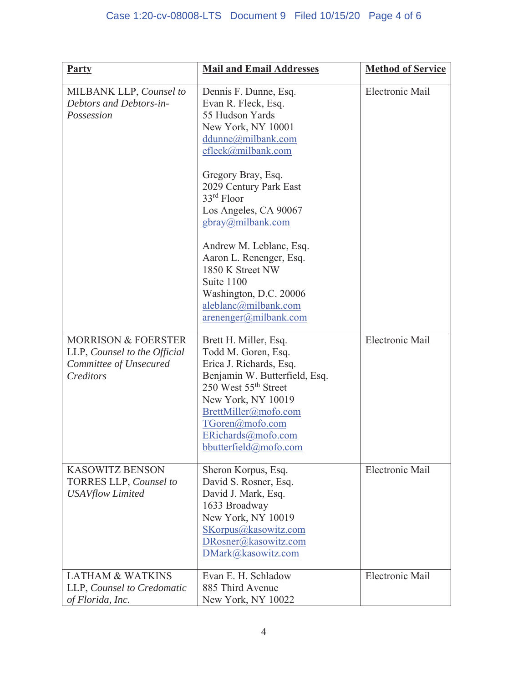| <b>Party</b>                                                                                          | <b>Mail and Email Addresses</b>                                                                                                                                                                                                                                                                                                                                                                                             | <b>Method of Service</b> |
|-------------------------------------------------------------------------------------------------------|-----------------------------------------------------------------------------------------------------------------------------------------------------------------------------------------------------------------------------------------------------------------------------------------------------------------------------------------------------------------------------------------------------------------------------|--------------------------|
| MILBANK LLP, Counsel to<br>Debtors and Debtors-in-<br>Possession                                      | Dennis F. Dunne, Esq.<br>Evan R. Fleck, Esq.<br>55 Hudson Yards<br>New York, NY 10001<br>ddunne@milbank.com<br>efleck@milbank.com<br>Gregory Bray, Esq.<br>2029 Century Park East<br>33rd Floor<br>Los Angeles, CA 90067<br>gbray@milbank.com<br>Andrew M. Leblanc, Esq.<br>Aaron L. Renenger, Esq.<br>1850 K Street NW<br>Suite 1100<br>Washington, D.C. 20006<br>aleblanc@milbank.com<br>$\arenenger(\omega milbank.com)$ | Electronic Mail          |
| <b>MORRISON &amp; FOERSTER</b><br>LLP, Counsel to the Official<br>Committee of Unsecured<br>Creditors | Brett H. Miller, Esq.<br>Todd M. Goren, Esq.<br>Erica J. Richards, Esq.<br>Benjamin W. Butterfield, Esq.<br>250 West 55 <sup>th</sup> Street<br>New York, NY 10019<br>BrettMiller@mofo.com<br>TGoren@mofo.com<br>ERichards@mofo.com<br>bbutterfield@mofo.com                                                                                                                                                                | Electronic Mail          |
| <b>KASOWITZ BENSON</b><br>TORRES LLP, Counsel to<br><b>USAVflow Limited</b>                           | Sheron Korpus, Esq.<br>David S. Rosner, Esq.<br>David J. Mark, Esq.<br>1633 Broadway<br>New York, NY 10019<br>SKorpus@kasowitz.com<br>DRosner@kasowitz.com<br>DMark@kasowitz.com                                                                                                                                                                                                                                            | Electronic Mail          |
| <b>LATHAM &amp; WATKINS</b><br>LLP, Counsel to Credomatic<br>of Florida, Inc.                         | Evan E. H. Schladow<br>885 Third Avenue<br>New York, NY 10022                                                                                                                                                                                                                                                                                                                                                               | Electronic Mail          |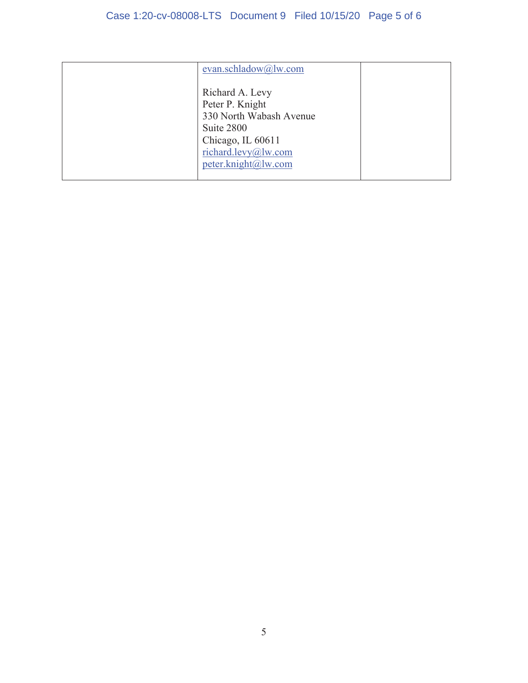| evan.schladow@lw.com    |  |
|-------------------------|--|
|                         |  |
| Richard A. Levy         |  |
| Peter P. Knight         |  |
| 330 North Wabash Avenue |  |
| Suite 2800              |  |
| Chicago, IL 60611       |  |
| richard.levy@lw.com     |  |
| peter.knight@lw.com     |  |
|                         |  |